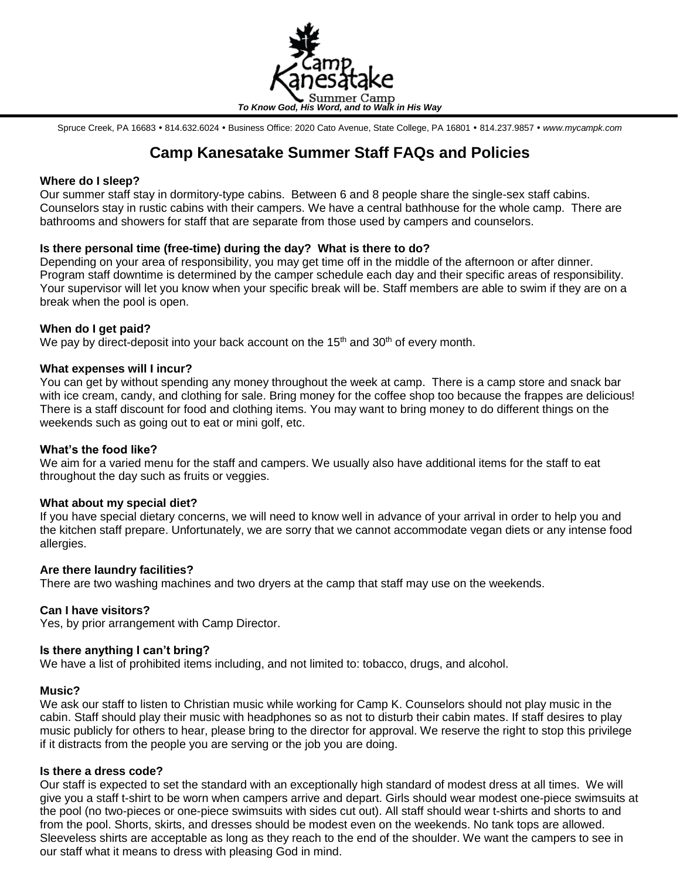

Spruce Creek, PA 16683 · 814.632.6024 · Business Office: 2020 Cato Avenue, State College, PA 16801 · 814.237.9857 · www.mycampk.com

# **Camp Kanesatake Summer Staff FAQs and Policies**

## **Where do I sleep?**

Our summer staff stay in dormitory-type cabins. Between 6 and 8 people share the single-sex staff cabins. Counselors stay in rustic cabins with their campers. We have a central bathhouse for the whole camp. There are bathrooms and showers for staff that are separate from those used by campers and counselors.

# **Is there personal time (free-time) during the day? What is there to do?**

Depending on your area of responsibility, you may get time off in the middle of the afternoon or after dinner. Program staff downtime is determined by the camper schedule each day and their specific areas of responsibility. Your supervisor will let you know when your specific break will be. Staff members are able to swim if they are on a break when the pool is open.

## **When do I get paid?**

We pay by direct-deposit into your back account on the 15<sup>th</sup> and 30<sup>th</sup> of every month.

## **What expenses will I incur?**

You can get by without spending any money throughout the week at camp. There is a camp store and snack bar with ice cream, candy, and clothing for sale. Bring money for the coffee shop too because the frappes are delicious! There is a staff discount for food and clothing items. You may want to bring money to do different things on the weekends such as going out to eat or mini golf, etc.

# **What's the food like?**

We aim for a varied menu for the staff and campers. We usually also have additional items for the staff to eat throughout the day such as fruits or veggies.

#### **What about my special diet?**

If you have special dietary concerns, we will need to know well in advance of your arrival in order to help you and the kitchen staff prepare. Unfortunately, we are sorry that we cannot accommodate vegan diets or any intense food allergies.

#### **Are there laundry facilities?**

There are two washing machines and two dryers at the camp that staff may use on the weekends.

# **Can I have visitors?**

Yes, by prior arrangement with Camp Director.

#### **Is there anything I can't bring?**

We have a list of prohibited items including, and not limited to: tobacco, drugs, and alcohol.

#### **Music?**

We ask our staff to listen to Christian music while working for Camp K. Counselors should not play music in the cabin. Staff should play their music with headphones so as not to disturb their cabin mates. If staff desires to play music publicly for others to hear, please bring to the director for approval. We reserve the right to stop this privilege if it distracts from the people you are serving or the job you are doing.

# **Is there a dress code?**

Our staff is expected to set the standard with an exceptionally high standard of modest dress at all times. We will give you a staff t-shirt to be worn when campers arrive and depart. Girls should wear modest one-piece swimsuits at the pool (no two-pieces or one-piece swimsuits with sides cut out). All staff should wear t-shirts and shorts to and from the pool. Shorts, skirts, and dresses should be modest even on the weekends. No tank tops are allowed. Sleeveless shirts are acceptable as long as they reach to the end of the shoulder. We want the campers to see in our staff what it means to dress with pleasing God in mind.